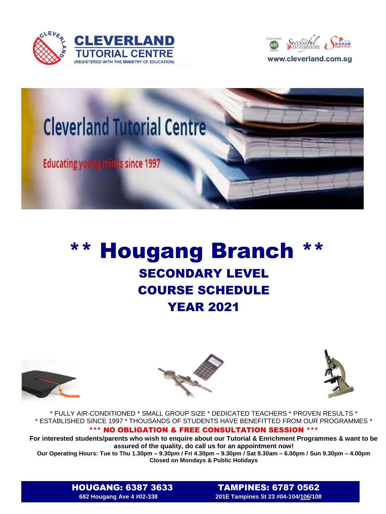





## \*\* Hougang Branch \*\* SECONDARY LEVEL COURSE SCHEDULE YEAR 2021







\* FULLY AIR-CONDITIONED \* SMALL GROUP SIZE \* DEDICATED TEACHERS \* PROVEN RESULTS \* \* ESTABLISHED SINCE 1997 \* THOUSANDS OF STUDENTS HAVE BENEFITTED FROM OUR PROGRAMMES \*

## \*\*\* NO OBLIGATION & FREE CONSULTATION SESSION \*\*\*

**For interested students/parents who wish to enquire about our Tutorial & Enrichment Programmes & want to be assured of the quality, do call us for an appointment now!**

**Our Operating Hours: Tue to Thu 1.30pm – 9.30pm / Fri 4.30pm – 9.30pm / Sat 9.30am – 6.00pm / Sun 9.30pm – 4.00pm Closed on Mondays & Public Holidays**

HOUGANG: 6387 3633TAMPINES: 6787 0562 **682 Hougang Ave 4 #02-338 201E Tampines St 23 #04-104/106/108**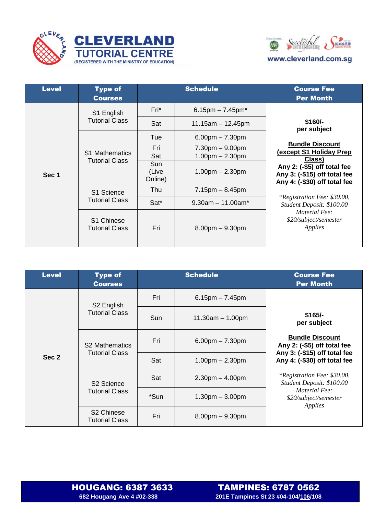



| <b>Level</b> | <b>Type of</b><br><b>Courses</b>               | <b>Schedule</b>         |                                    | <b>Course Fee</b><br><b>Per Month</b>                                                                                                                                                                                                                                                                         |
|--------------|------------------------------------------------|-------------------------|------------------------------------|---------------------------------------------------------------------------------------------------------------------------------------------------------------------------------------------------------------------------------------------------------------------------------------------------------------|
|              | S1 English<br><b>Tutorial Class</b>            | Fri*                    | $6.15$ pm $- 7.45$ pm $*$          | $$160/-$<br>per subject<br><b>Bundle Discount</b><br>(except S1 Holiday Prep<br>Class)<br>Any 2: (-\$5) off total fee<br>Any 3: (-\$15) off total fee<br>Any 4: (-\$30) off total fee<br><i>*Registration Fee: \$30.00,</i><br>Student Deposit: \$100.00<br>Material Fee:<br>\$20/subject/semester<br>Applies |
|              |                                                | Sat                     | $11.15$ am $-12.45$ pm             |                                                                                                                                                                                                                                                                                                               |
|              | <b>S1 Mathematics</b><br><b>Tutorial Class</b> | Tue                     | $6.00pm - 7.30pm$                  |                                                                                                                                                                                                                                                                                                               |
|              |                                                | Fri                     | $7.30pm - 9.00pm$                  |                                                                                                                                                                                                                                                                                                               |
| Sec 1        |                                                | Sat                     | $1.00pm - 2.30pm$                  |                                                                                                                                                                                                                                                                                                               |
|              |                                                | Sun<br>(Live<br>Online) | $1.00pm - 2.30pm$                  |                                                                                                                                                                                                                                                                                                               |
|              | S1 Science<br><b>Tutorial Class</b>            | Thu                     | $7.15pm - 8.45pm$                  |                                                                                                                                                                                                                                                                                                               |
|              |                                                | Sat*                    | $9.30$ am $-11.00$ am <sup>*</sup> |                                                                                                                                                                                                                                                                                                               |
|              | S1 Chinese<br><b>Tutorial Class</b>            | Fri                     | $8.00pm - 9.30pm$                  |                                                                                                                                                                                                                                                                                                               |

| <b>Level</b> | <b>Type of</b><br><b>Courses</b>                | <b>Schedule</b> |                       | <b>Course Fee</b><br><b>Per Month</b>                                                                                                                                                                                                                                    |
|--------------|-------------------------------------------------|-----------------|-----------------------|--------------------------------------------------------------------------------------------------------------------------------------------------------------------------------------------------------------------------------------------------------------------------|
| Sec 2        | S <sub>2</sub> English<br><b>Tutorial Class</b> | Fri             | $6.15$ pm $- 7.45$ pm | $$165/-$<br>per subject<br><b>Bundle Discount</b><br>Any 2: (-\$5) off total fee<br>Any 3: (-\$15) off total fee<br>Any 4: (-\$30) off total fee<br><i>*Registration Fee: \$30.00,</i><br>Student Deposit: \$100.00<br>Material Fee:<br>\$20/subject/semester<br>Applies |
|              |                                                 | Sun             | $11.30am - 1.00pm$    |                                                                                                                                                                                                                                                                          |
|              | <b>S2 Mathematics</b><br><b>Tutorial Class</b>  | Fri             | $6.00$ pm $- 7.30$ pm |                                                                                                                                                                                                                                                                          |
|              |                                                 | Sat             | $1.00pm - 2.30pm$     |                                                                                                                                                                                                                                                                          |
|              | S <sub>2</sub> Science<br><b>Tutorial Class</b> | Sat             | $2.30pm - 4.00pm$     |                                                                                                                                                                                                                                                                          |
|              |                                                 | *Sun            | $1.30pm - 3.00pm$     |                                                                                                                                                                                                                                                                          |
|              | S <sub>2</sub> Chinese<br><b>Tutorial Class</b> | Fri             | $8.00$ pm $-9.30$ pm  |                                                                                                                                                                                                                                                                          |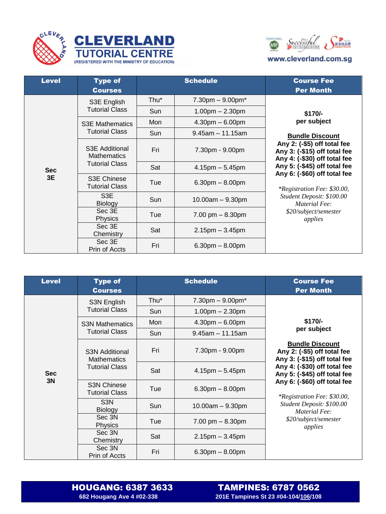





## www.cleverland.com.sg

| <b>Level</b>     | <b>Type of</b><br><b>Courses</b>                              | <b>Schedule</b> |                                     | <b>Course Fee</b><br><b>Per Month</b>                                                                                                                                                                                                                                                                                                    |
|------------------|---------------------------------------------------------------|-----------------|-------------------------------------|------------------------------------------------------------------------------------------------------------------------------------------------------------------------------------------------------------------------------------------------------------------------------------------------------------------------------------------|
| <b>Sec</b><br>3E | S3E English<br><b>Tutorial Class</b>                          | Thu*            | $7.30 \text{pm} - 9.00 \text{pm}^*$ | $$170/-$<br>per subject<br><b>Bundle Discount</b><br>Any 2: (-\$5) off total fee<br>Any 3: (-\$15) off total fee<br>Any 4: (-\$30) off total fee<br>Any 5: (-\$45) off total fee<br>Any 6: (-\$60) off total fee<br><i>*Registration Fee: \$30.00,</i><br>Student Deposit: \$100.00<br>Material Fee:<br>\$20/subject/semester<br>applies |
|                  |                                                               | Sun             | $1.00pm - 2.30pm$                   |                                                                                                                                                                                                                                                                                                                                          |
|                  | <b>S3E Mathematics</b><br><b>Tutorial Class</b>               | Mon             | $4.30pm - 6.00pm$                   |                                                                                                                                                                                                                                                                                                                                          |
|                  |                                                               | Sun             | $9.45$ am $-11.15$ am               |                                                                                                                                                                                                                                                                                                                                          |
|                  | S3E Additional<br><b>Mathematics</b><br><b>Tutorial Class</b> | Fri             | 7.30pm - 9.00pm                     |                                                                                                                                                                                                                                                                                                                                          |
|                  |                                                               | Sat             | $4.15$ pm $-5.45$ pm                |                                                                                                                                                                                                                                                                                                                                          |
|                  | <b>S3E Chinese</b><br><b>Tutorial Class</b>                   | Tue             | $6.30pm - 8.00pm$                   |                                                                                                                                                                                                                                                                                                                                          |
|                  | S3E<br><b>Biology</b>                                         | Sun             | $10.00am - 9.30pm$                  |                                                                                                                                                                                                                                                                                                                                          |
|                  | Sec 3E<br><b>Physics</b>                                      | Tue             | $7.00$ pm $- 8.30$ pm               |                                                                                                                                                                                                                                                                                                                                          |
|                  | Sec 3E<br>Chemistry                                           | Sat             | $2.15$ pm $-3.45$ pm                |                                                                                                                                                                                                                                                                                                                                          |
|                  | Sec 3E<br>Prin of Accts                                       | Fri             | $6.30pm - 8.00pm$                   |                                                                                                                                                                                                                                                                                                                                          |

| <b>Level</b>     | <b>Type of</b><br><b>Courses</b>                                     | <b>Schedule</b> |                                     | <b>Course Fee</b><br><b>Per Month</b>                                                                                                                                                                                                                                                                                                    |
|------------------|----------------------------------------------------------------------|-----------------|-------------------------------------|------------------------------------------------------------------------------------------------------------------------------------------------------------------------------------------------------------------------------------------------------------------------------------------------------------------------------------------|
|                  | S3N English<br><b>Tutorial Class</b>                                 | Thu*            | $7.30 \text{pm} - 9.00 \text{pm}^*$ | $$170/-$<br>per subject<br><b>Bundle Discount</b><br>Any 2: (-\$5) off total fee<br>Any 3: (-\$15) off total fee<br>Any 4: (-\$30) off total fee<br>Any 5: (-\$45) off total fee<br>Any 6: (-\$60) off total fee<br><i>*Registration Fee: \$30.00,</i><br>Student Deposit: \$100.00<br>Material Fee:<br>\$20/subject/semester<br>applies |
|                  |                                                                      | Sun             | $1.00pm - 2.30pm$                   |                                                                                                                                                                                                                                                                                                                                          |
|                  | <b>S3N Mathematics</b><br><b>Tutorial Class</b>                      | Mon             | $4.30pm - 6.00pm$                   |                                                                                                                                                                                                                                                                                                                                          |
| <b>Sec</b><br>3N |                                                                      | Sun             | $9.45$ am $-11.15$ am               |                                                                                                                                                                                                                                                                                                                                          |
|                  | <b>S3N Additional</b><br><b>Mathematics</b><br><b>Tutorial Class</b> | Fri             | 7.30pm - 9.00pm                     |                                                                                                                                                                                                                                                                                                                                          |
|                  |                                                                      | Sat             | $4.15$ pm $-5.45$ pm                |                                                                                                                                                                                                                                                                                                                                          |
|                  | <b>S3N Chinese</b><br><b>Tutorial Class</b>                          | Tue             | $6.30pm - 8.00pm$                   |                                                                                                                                                                                                                                                                                                                                          |
|                  | S <sub>3</sub> N<br><b>Biology</b>                                   | Sun             | $10.00am - 9.30pm$                  |                                                                                                                                                                                                                                                                                                                                          |
|                  | Sec 3N<br><b>Physics</b>                                             | Tue             | $7.00$ pm $- 8.30$ pm               |                                                                                                                                                                                                                                                                                                                                          |
|                  | Sec 3N<br>Chemistry                                                  | Sat             | $2.15$ pm $-3.45$ pm                |                                                                                                                                                                                                                                                                                                                                          |
|                  | Sec 3N<br>Prin of Accts                                              | Fri             | $6.30pm - 8.00pm$                   |                                                                                                                                                                                                                                                                                                                                          |